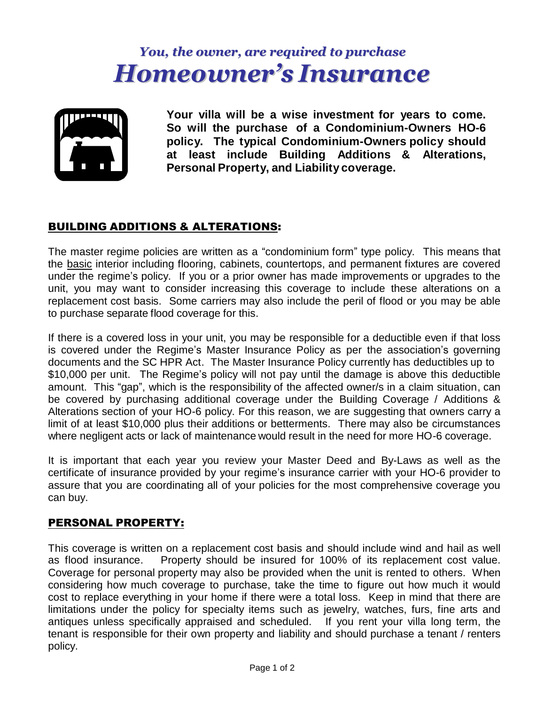# *You, the owner, are required to purchase Homeowner's Insurance*



**Your villa will be a wise investment for years to come. So will the purchase of a Condominium-Owners HO-6 policy. The typical Condominium-Owners policy should at least include Building Additions & Alterations, Personal Property, and Liability coverage.**

## BUILDING ADDITIONS & ALTERATIONS:

The master regime policies are written as a "condominium form" type policy. This means that the basic interior including flooring, cabinets, countertops, and permanent fixtures are covered under the regime's policy. If you or a prior owner has made improvements or upgrades to the unit, you may want to consider increasing this coverage to include these alterations on a replacement cost basis. Some carriers may also include the peril of flood or you may be able to purchase separate flood coverage for this.

If there is a covered loss in your unit, you may be responsible for a deductible even if that loss is covered under the Regime's Master Insurance Policy as per the association's governing documents and the SC HPR Act. The Master Insurance Policy currently has deductibles up to \$10,000 per unit. The Regime's policy will not pay until the damage is above this deductible amount. This "gap", which is the responsibility of the affected owner/s in a claim situation, can be covered by purchasing additional coverage under the Building Coverage / Additions & Alterations section of your HO-6 policy. For this reason, we are suggesting that owners carry a limit of at least \$10,000 plus their additions or betterments. There may also be circumstances where negligent acts or lack of maintenance would result in the need for more HO-6 coverage.

It is important that each year you review your Master Deed and By-Laws as well as the certificate of insurance provided by your regime's insurance carrier with your HO-6 provider to assure that you are coordinating all of your policies for the most comprehensive coverage you can buy.

## PERSONAL PROPERTY:

This coverage is written on a replacement cost basis and should include wind and hail as well as flood insurance. Property should be insured for 100% of its replacement cost value. Coverage for personal property may also be provided when the unit is rented to others. When considering how much coverage to purchase, take the time to figure out how much it would cost to replace everything in your home if there were a total loss. Keep in mind that there are limitations under the policy for specialty items such as jewelry, watches, furs, fine arts and antiques unless specifically appraised and scheduled. If you rent your villa long term, the tenant is responsible for their own property and liability and should purchase a tenant / renters policy.